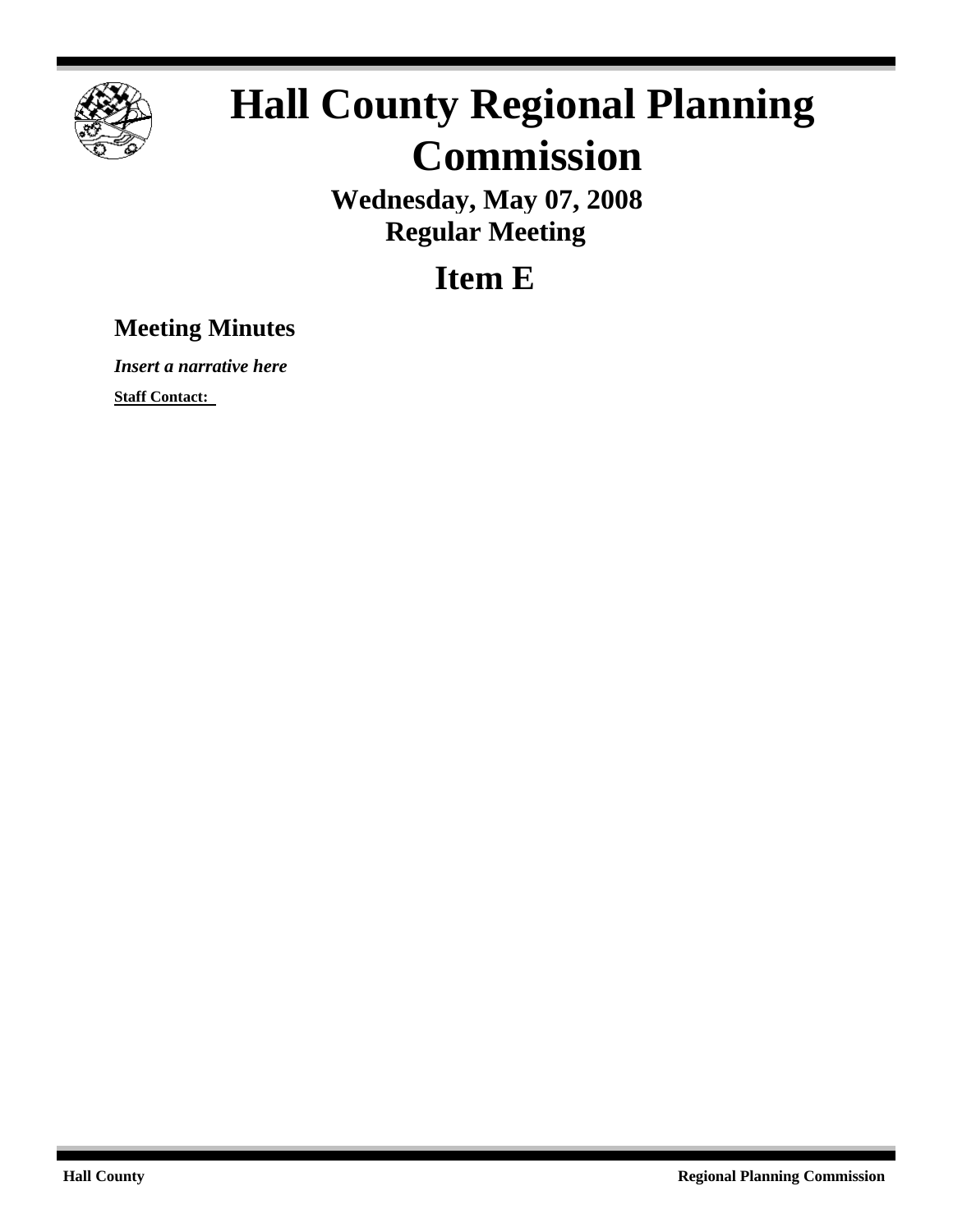

# **Hall County Regional Planning Commission**

**Wednesday, May 07, 2008 Regular Meeting**

## **Item E**

### **Meeting Minutes**

*Insert a narrative here*

**Staff Contact:**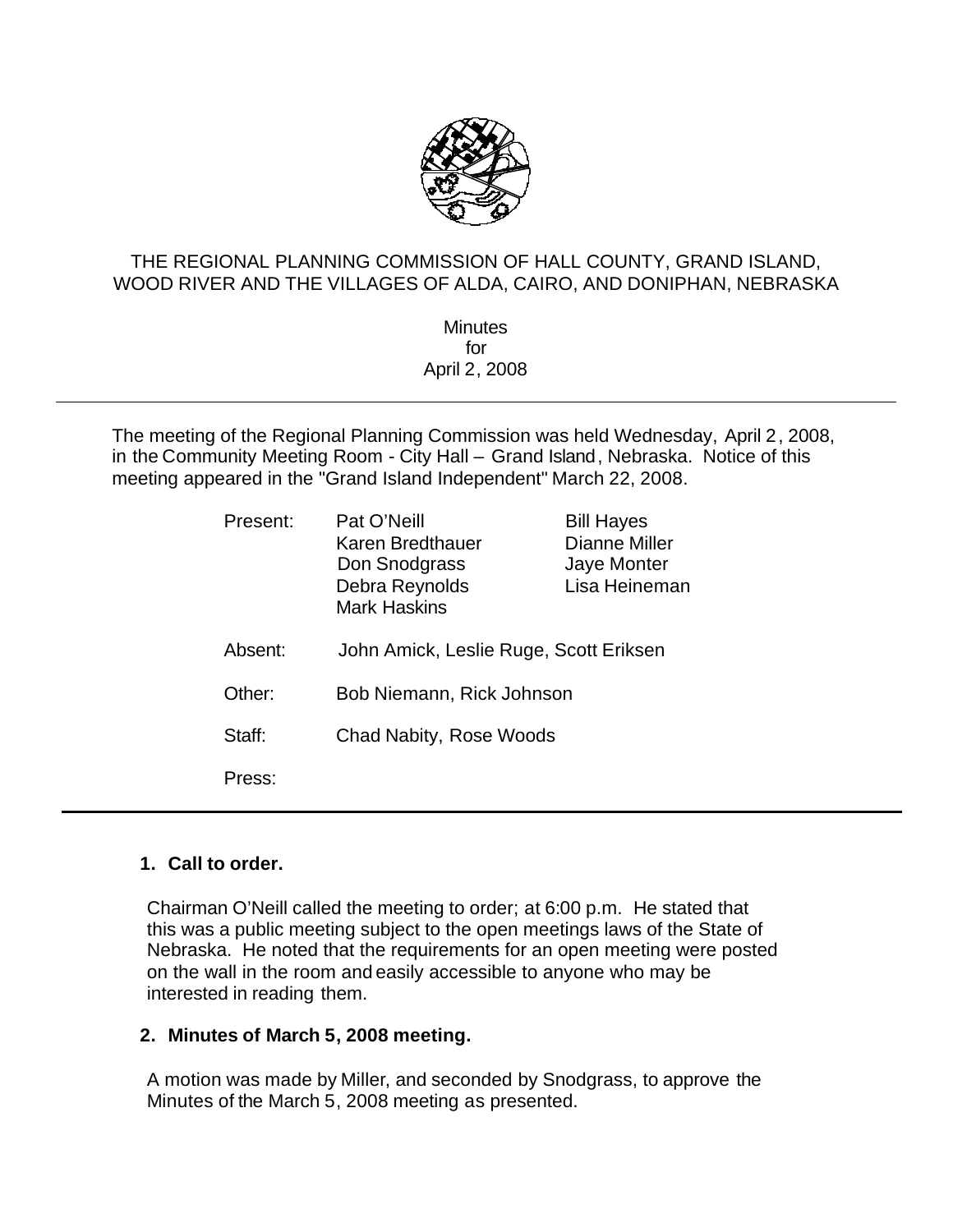

#### THE REGIONAL PLANNING COMMISSION OF HALL COUNTY, GRAND ISLAND, WOOD RIVER AND THE VILLAGES OF ALDA, CAIRO, AND DONIPHAN, NEBRASKA

**Minutes** for April 2, 2008

The meeting of the Regional Planning Commission was held Wednesday, April 2, 2008, in the Community Meeting Room - City Hall – Grand Island, Nebraska. Notice of this meeting appeared in the "Grand Island Independent" March 22, 2008.

| Present: | Pat O'Neill<br>Karen Bredthauer<br>Don Snodgrass<br>Debra Reynolds<br><b>Mark Haskins</b> | <b>Bill Hayes</b><br>Dianne Miller<br>Jaye Monter<br>Lisa Heineman |
|----------|-------------------------------------------------------------------------------------------|--------------------------------------------------------------------|
| Absent:  | John Amick, Leslie Ruge, Scott Eriksen                                                    |                                                                    |
| Other:   | Bob Niemann, Rick Johnson                                                                 |                                                                    |
| Staff:   | Chad Nabity, Rose Woods                                                                   |                                                                    |
| Press:   |                                                                                           |                                                                    |

#### **1. Call to order.**

Chairman O'Neill called the meeting to order; at 6:00 p.m. He stated that this was a public meeting subject to the open meetings laws of the State of Nebraska. He noted that the requirements for an open meeting were posted on the wall in the room and easily accessible to anyone who may be interested in reading them.

#### **2. Minutes of March 5, 2008 meeting.**

A motion was made by Miller, and seconded by Snodgrass, to approve the Minutes of the March 5, 2008 meeting as presented.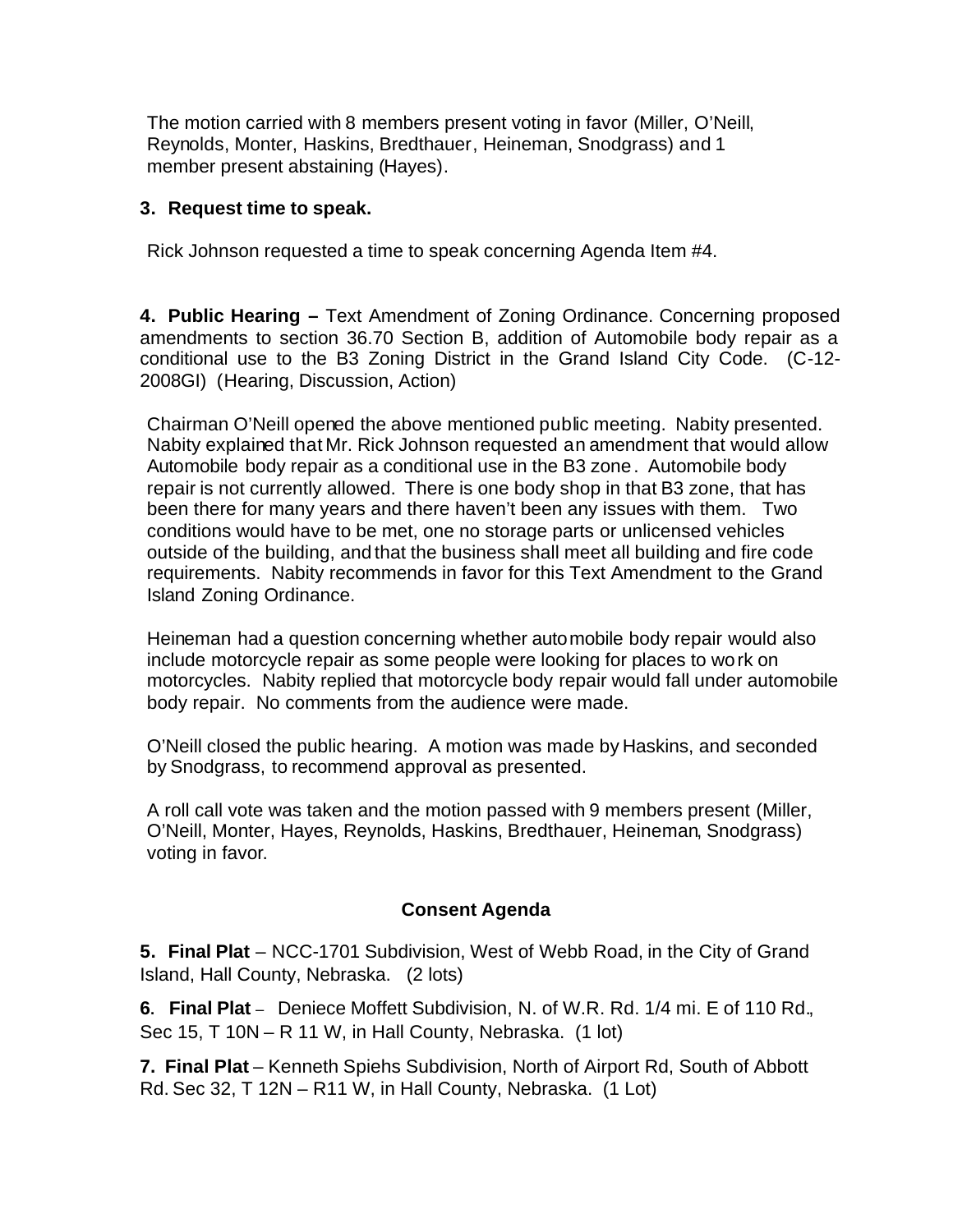The motion carried with 8 members present voting in favor (Miller, O'Neill, Reynolds, Monter, Haskins, Bredthauer, Heineman, Snodgrass) and 1 member present abstaining (Hayes).

#### **3. Request time to speak.**

Rick Johnson requested a time to speak concerning Agenda Item #4.

**4. Public Hearing –** Text Amendment of Zoning Ordinance. Concerning proposed amendments to section 36.70 Section B, addition of Automobile body repair as a conditional use to the B3 Zoning District in the Grand Island City Code. (C-12- 2008GI) (Hearing, Discussion, Action)

Chairman O'Neill opened the above mentioned public meeting.Nabity presented. Nabity explained that Mr. Rick Johnson requested an amendment that would allow Automobile body repair as a conditional use in the B3 zone. Automobile body repair is not currently allowed. There is one body shop in that B3 zone, that has been there for many years and there haven't been any issues with them. Two conditions would have to be met, one no storage parts or unlicensed vehicles outside of the building, and that the business shall meet all building and fire code requirements. Nabity recommends in favor for this Text Amendment to the Grand Island Zoning Ordinance.

Heineman had a question concerning whether automobile body repair would also include motorcycle repair as some people were looking for places to work on motorcycles. Nabity replied that motorcycle body repair would fall under automobile body repair. No comments from the audience were made.

O'Neill closed the public hearing. A motion was made by Haskins, and seconded by Snodgrass, to recommend approval as presented.

A roll call vote was taken and the motion passed with 9 members present (Miller, O'Neill, Monter, Hayes, Reynolds, Haskins, Bredthauer, Heineman, Snodgrass) voting in favor.

#### **Consent Agenda**

**5. Final Plat** – NCC-1701 Subdivision, West of Webb Road, in the City of Grand Island, Hall County, Nebraska. (2 lots)

**6. Final Plat** –Deniece Moffett Subdivision, N. of W.R. Rd. 1/4 mi. E of 110 Rd., Sec 15, T 10N – R 11 W, in Hall County, Nebraska. (1 lot)

**7. Final Plat** – Kenneth Spiehs Subdivision, North of Airport Rd, South of Abbott Rd. Sec 32, T 12N – R11 W, in Hall County, Nebraska. (1 Lot)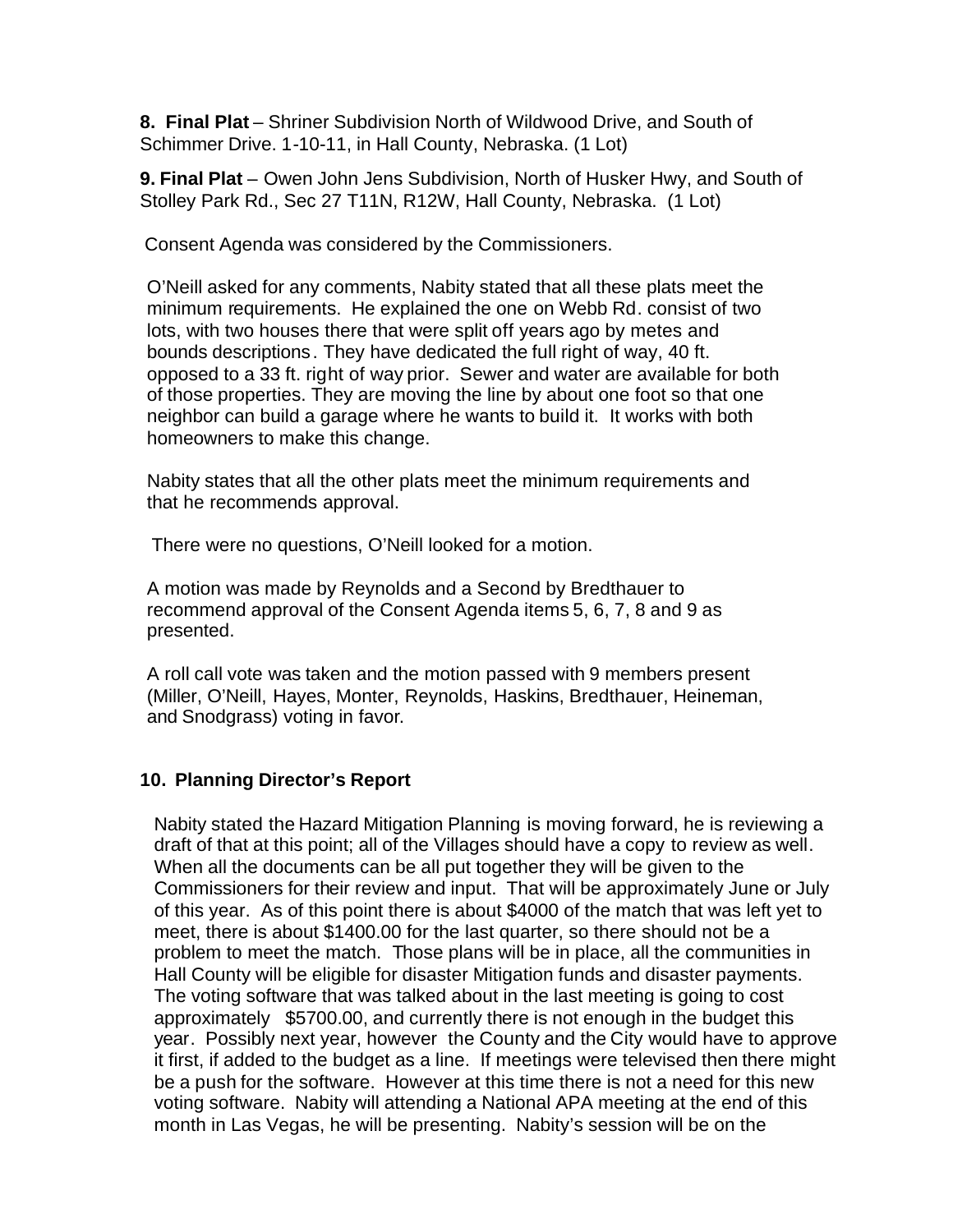**8. Final Plat** – Shriner Subdivision North of Wildwood Drive, and South of Schimmer Drive. 1-10-11, in Hall County, Nebraska. (1 Lot)

**9. Final Plat** – Owen John Jens Subdivision, North of Husker Hwy, and South of Stolley Park Rd., Sec 27 T11N, R12W, Hall County, Nebraska. (1 Lot)

Consent Agenda was considered by the Commissioners.

O'Neill asked for any comments, Nabity stated that all these plats meet the minimum requirements. He explained the one on Webb Rd. consist of two lots, with two houses there that were split off years ago by metes and bounds descriptions. They have dedicated the full right of way, 40 ft. opposed to a 33 ft. right of way prior. Sewer and water are available for both of those properties. They are moving the line by about one foot so that one neighbor can build a garage where he wants to build it. It works with both homeowners to make this change.

Nabity states that all the other plats meet the minimum requirements and that he recommends approval.

There were no questions, O'Neill looked for a motion.

A motion was made by Reynolds and a Second by Bredthauer to recommend approval of the Consent Agenda items 5, 6, 7, 8 and 9 as presented.

A roll call vote was taken and the motion passed with 9 members present (Miller, O'Neill, Hayes, Monter, Reynolds, Haskins, Bredthauer, Heineman, and Snodgrass) voting in favor.

#### **10. Planning Director's Report**

Nabity stated the Hazard Mitigation Planning is moving forward, he is reviewing a draft of that at this point; all of the Villages should have a copy to review as well. When all the documents can be all put together they will be given to the Commissioners for their review and input. That will be approximately June or July of this year. As of this point there is about \$4000 of the match that was left yet to meet, there is about \$1400.00 for the last quarter, so there should not be a problem to meet the match. Those plans will be in place, all the communities in Hall County will be eligible for disaster Mitigation funds and disaster payments. The voting software that was talked about in the last meeting is going to cost approximately \$5700.00, and currently there is not enough in the budget this year. Possibly next year, however the County and the City would have to approve it first, if added to the budget as a line. If meetings were televised then there might be a push for the software. However at this time there is not a need for this new voting software. Nabity will attending a National APA meeting at the end of this month in Las Vegas, he will be presenting. Nabity's session will be on the